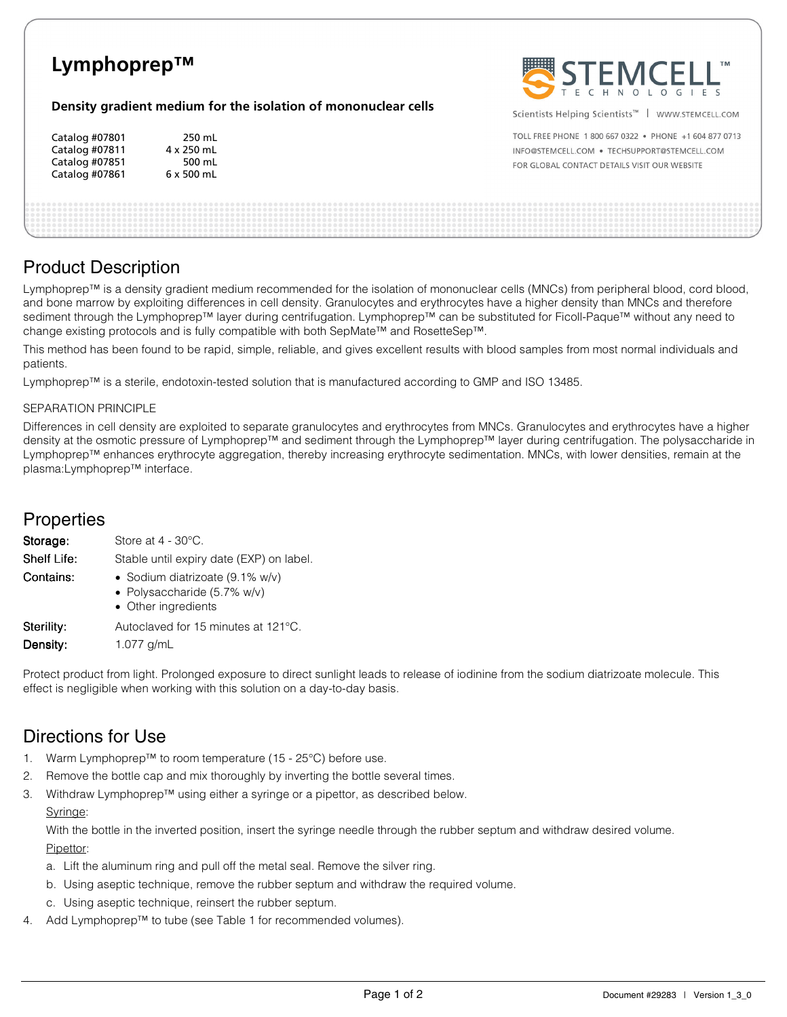

# Product Description

Lymphoprep™ is a density gradient medium recommended for the isolation of mononuclear cells (MNCs) from peripheral blood, cord blood, and bone marrow by exploiting differences in cell density. Granulocytes and erythrocytes have a higher density than MNCs and therefore sediment through the Lymphoprep™ layer during centrifugation. Lymphoprep™ can be substituted for Ficoll-Paque™ without any need to change existing protocols and is fully compatible with both SepMate™ and RosetteSep™.

This method has been found to be rapid, simple, reliable, and gives excellent results with blood samples from most normal individuals and patients.

Lymphoprep™ is a sterile, endotoxin-tested solution that is manufactured according to GMP and ISO 13485.

#### SEPARATION PRINCIPLE

Differences in cell density are exploited to separate granulocytes and erythrocytes from MNCs. Granulocytes and erythrocytes have a higher density at the osmotic pressure of Lymphoprep™ and sediment through the Lymphoprep™ layer during centrifugation. The polysaccharide in Lymphoprep™ enhances erythrocyte aggregation, thereby increasing erythrocyte sedimentation. MNCs, with lower densities, remain at the plasma:Lymphoprep™ interface.

### **Properties**

| Storage:           | Store at $4 - 30^{\circ}$ C.                                                             |  |  |
|--------------------|------------------------------------------------------------------------------------------|--|--|
| <b>Shelf Life:</b> | Stable until expiry date (EXP) on label.                                                 |  |  |
| Contains:          | • Sodium diatrizoate $(9.1\%$ w/v)<br>• Polysaccharide (5.7% w/v)<br>• Other ingredients |  |  |
| Sterility:         | Autoclaved for 15 minutes at 121°C.                                                      |  |  |
| Density:           | 1.077 $g/mL$                                                                             |  |  |

Protect product from light. Prolonged exposure to direct sunlight leads to release of iodinine from the sodium diatrizoate molecule. This effect is negligible when working with this solution on a day-to-day basis.

## Directions for Use

- 1. Warm Lymphoprep™ to room temperature (15 25°C) before use.
- 2. Remove the bottle cap and mix thoroughly by inverting the bottle several times.
- 3. Withdraw Lymphoprep™ using either a syringe or a pipettor, as described below.

#### Syringe:

With the bottle in the inverted position, insert the syringe needle through the rubber septum and withdraw desired volume. Pipettor:

- a. Lift the aluminum ring and pull off the metal seal. Remove the silver ring.
- b. Using aseptic technique, remove the rubber septum and withdraw the required volume.
- c. Using aseptic technique, reinsert the rubber septum.
- Add Lymphoprep™ to tube (see Table 1 for recommended volumes).